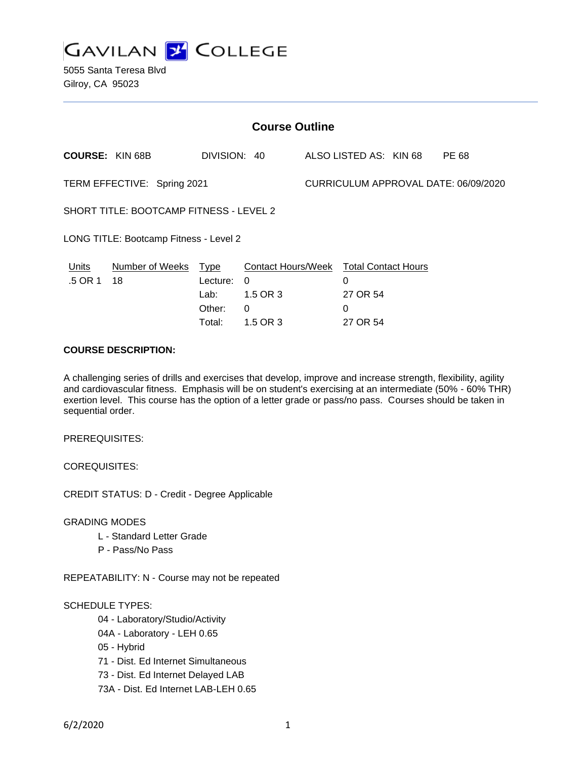

5055 Santa Teresa Blvd Gilroy, CA 95023

| <b>Course Outline</b>                          |                        |              |          |                                      |                                        |  |       |
|------------------------------------------------|------------------------|--------------|----------|--------------------------------------|----------------------------------------|--|-------|
|                                                | <b>COURSE: KIN 68B</b> | DIVISION: 40 |          |                                      | ALSO LISTED AS: KIN 68                 |  | PE 68 |
| TERM EFFECTIVE: Spring 2021                    |                        |              |          | CURRICULUM APPROVAL DATE: 06/09/2020 |                                        |  |       |
| <b>SHORT TITLE: BOOTCAMP FITNESS - LEVEL 2</b> |                        |              |          |                                      |                                        |  |       |
| LONG TITLE: Bootcamp Fitness - Level 2         |                        |              |          |                                      |                                        |  |       |
| Units                                          | Number of Weeks Type   |              |          |                                      | Contact Hours/Week Total Contact Hours |  |       |
| .5 OR 1                                        | 18                     | Lecture:     | $\Omega$ |                                      | $\Omega$                               |  |       |
|                                                |                        | Lab:         | 1.5 OR 3 |                                      | 27 OR 54                               |  |       |
|                                                |                        | Other:       | 0        |                                      | $\Omega$                               |  |       |
|                                                |                        | Total:       | 1.5 OR 3 |                                      | 27 OR 54                               |  |       |

## **COURSE DESCRIPTION:**

A challenging series of drills and exercises that develop, improve and increase strength, flexibility, agility and cardiovascular fitness. Emphasis will be on student's exercising at an intermediate (50% - 60% THR) exertion level. This course has the option of a letter grade or pass/no pass. Courses should be taken in sequential order.

PREREQUISITES:

COREQUISITES:

CREDIT STATUS: D - Credit - Degree Applicable

GRADING MODES

- L Standard Letter Grade
- P Pass/No Pass

REPEATABILITY: N - Course may not be repeated

### SCHEDULE TYPES:

- 04 Laboratory/Studio/Activity
- 04A Laboratory LEH 0.65
- 05 Hybrid
- 71 Dist. Ed Internet Simultaneous
- 73 Dist. Ed Internet Delayed LAB
- 73A Dist. Ed Internet LAB-LEH 0.65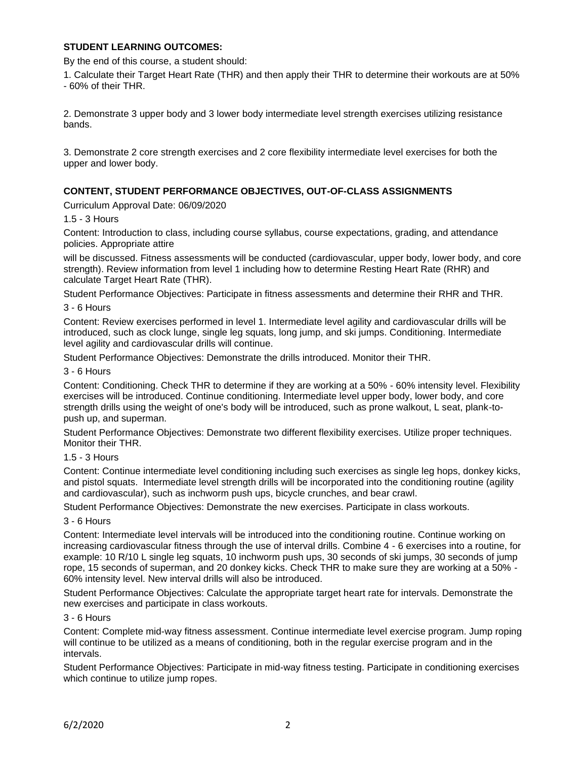## **STUDENT LEARNING OUTCOMES:**

By the end of this course, a student should:

1. Calculate their Target Heart Rate (THR) and then apply their THR to determine their workouts are at 50% - 60% of their THR.

2. Demonstrate 3 upper body and 3 lower body intermediate level strength exercises utilizing resistance bands.

3. Demonstrate 2 core strength exercises and 2 core flexibility intermediate level exercises for both the upper and lower body.

## **CONTENT, STUDENT PERFORMANCE OBJECTIVES, OUT-OF-CLASS ASSIGNMENTS**

Curriculum Approval Date: 06/09/2020

### 1.5 - 3 Hours

Content: Introduction to class, including course syllabus, course expectations, grading, and attendance policies. Appropriate attire

will be discussed. Fitness assessments will be conducted (cardiovascular, upper body, lower body, and core strength). Review information from level 1 including how to determine Resting Heart Rate (RHR) and calculate Target Heart Rate (THR).

Student Performance Objectives: Participate in fitness assessments and determine their RHR and THR.

### 3 - 6 Hours

Content: Review exercises performed in level 1. Intermediate level agility and cardiovascular drills will be introduced, such as clock lunge, single leg squats, long jump, and ski jumps. Conditioning. Intermediate level agility and cardiovascular drills will continue.

Student Performance Objectives: Demonstrate the drills introduced. Monitor their THR.

#### 3 - 6 Hours

Content: Conditioning. Check THR to determine if they are working at a 50% - 60% intensity level. Flexibility exercises will be introduced. Continue conditioning. Intermediate level upper body, lower body, and core strength drills using the weight of one's body will be introduced, such as prone walkout, L seat, plank-topush up, and superman.

Student Performance Objectives: Demonstrate two different flexibility exercises. Utilize proper techniques. Monitor their THR.

### 1.5 - 3 Hours

Content: Continue intermediate level conditioning including such exercises as single leg hops, donkey kicks, and pistol squats. Intermediate level strength drills will be incorporated into the conditioning routine (agility and cardiovascular), such as inchworm push ups, bicycle crunches, and bear crawl.

Student Performance Objectives: Demonstrate the new exercises. Participate in class workouts.

## 3 - 6 Hours

Content: Intermediate level intervals will be introduced into the conditioning routine. Continue working on increasing cardiovascular fitness through the use of interval drills. Combine 4 - 6 exercises into a routine, for example: 10 R/10 L single leg squats, 10 inchworm push ups, 30 seconds of ski jumps, 30 seconds of jump rope, 15 seconds of superman, and 20 donkey kicks. Check THR to make sure they are working at a 50% - 60% intensity level. New interval drills will also be introduced.

Student Performance Objectives: Calculate the appropriate target heart rate for intervals. Demonstrate the new exercises and participate in class workouts.

## 3 - 6 Hours

Content: Complete mid-way fitness assessment. Continue intermediate level exercise program. Jump roping will continue to be utilized as a means of conditioning, both in the regular exercise program and in the intervals.

Student Performance Objectives: Participate in mid-way fitness testing. Participate in conditioning exercises which continue to utilize jump ropes.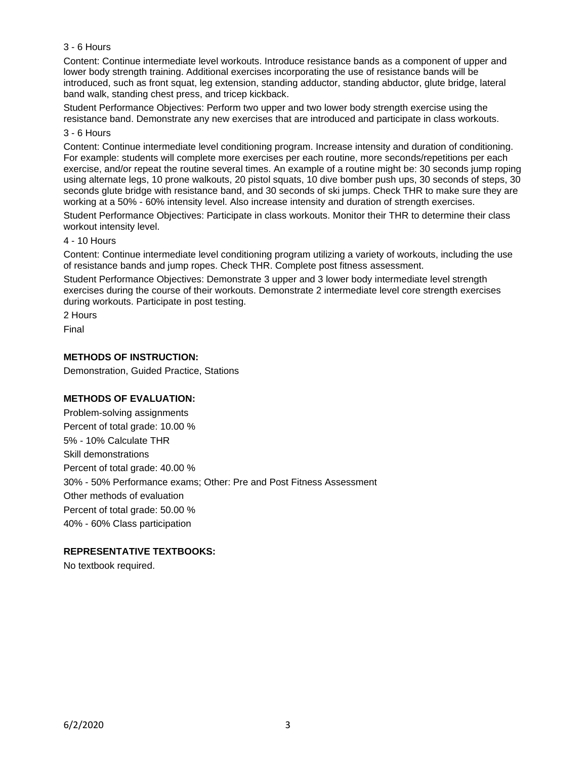## 3 - 6 Hours

Content: Continue intermediate level workouts. Introduce resistance bands as a component of upper and lower body strength training. Additional exercises incorporating the use of resistance bands will be introduced, such as front squat, leg extension, standing adductor, standing abductor, glute bridge, lateral band walk, standing chest press, and tricep kickback.

Student Performance Objectives: Perform two upper and two lower body strength exercise using the resistance band. Demonstrate any new exercises that are introduced and participate in class workouts.

## 3 - 6 Hours

Content: Continue intermediate level conditioning program. Increase intensity and duration of conditioning. For example: students will complete more exercises per each routine, more seconds/repetitions per each exercise, and/or repeat the routine several times. An example of a routine might be: 30 seconds jump roping using alternate legs, 10 prone walkouts, 20 pistol squats, 10 dive bomber push ups, 30 seconds of steps, 30 seconds glute bridge with resistance band, and 30 seconds of ski jumps. Check THR to make sure they are working at a 50% - 60% intensity level. Also increase intensity and duration of strength exercises.

Student Performance Objectives: Participate in class workouts. Monitor their THR to determine their class workout intensity level.

### 4 - 10 Hours

Content: Continue intermediate level conditioning program utilizing a variety of workouts, including the use of resistance bands and jump ropes. Check THR. Complete post fitness assessment.

Student Performance Objectives: Demonstrate 3 upper and 3 lower body intermediate level strength exercises during the course of their workouts. Demonstrate 2 intermediate level core strength exercises during workouts. Participate in post testing.

2 Hours

Final

### **METHODS OF INSTRUCTION:**

Demonstration, Guided Practice, Stations

### **METHODS OF EVALUATION:**

Problem-solving assignments Percent of total grade: 10.00 % 5% - 10% Calculate THR Skill demonstrations Percent of total grade: 40.00 % 30% - 50% Performance exams; Other: Pre and Post Fitness Assessment Other methods of evaluation Percent of total grade: 50.00 % 40% - 60% Class participation

## **REPRESENTATIVE TEXTBOOKS:**

No textbook required.